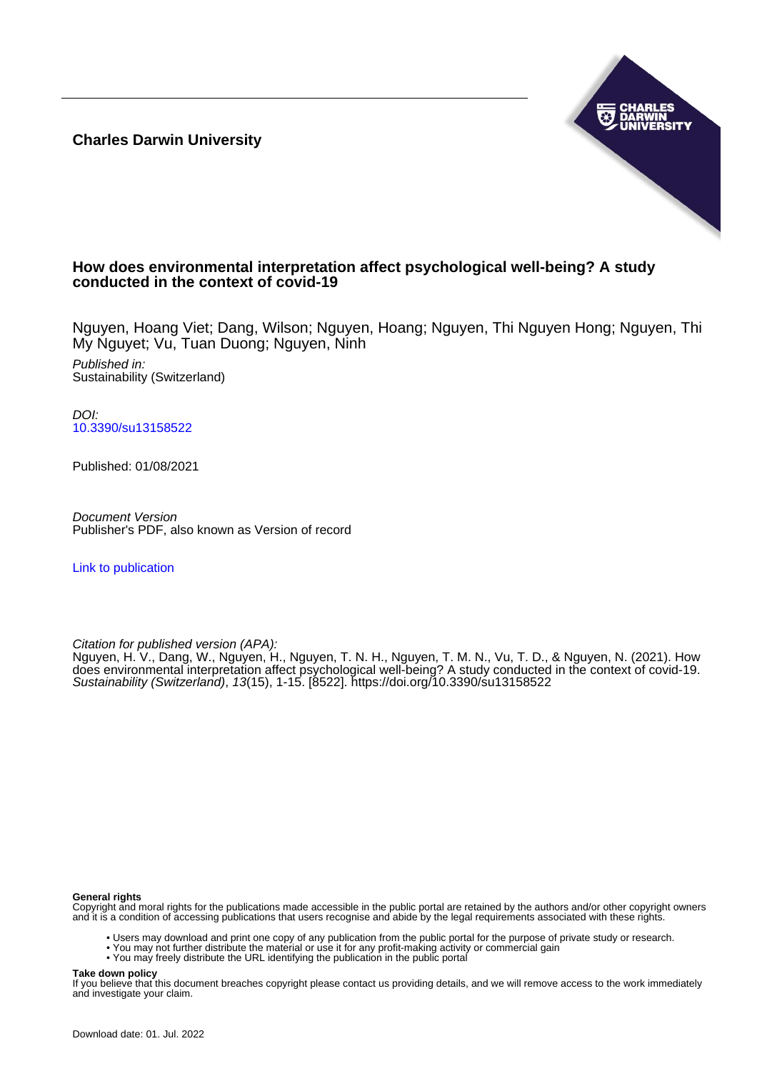**Charles Darwin University**



# **How does environmental interpretation affect psychological well-being? A study conducted in the context of covid-19**

Nguyen, Hoang Viet; Dang, Wilson; Nguyen, Hoang; Nguyen, Thi Nguyen Hong; Nguyen, Thi My Nguyet; Vu, Tuan Duong; Nguyen, Ninh

Published in: Sustainability (Switzerland)

DOI: [10.3390/su13158522](https://doi.org/10.3390/su13158522)

Published: 01/08/2021

Document Version Publisher's PDF, also known as Version of record

[Link to publication](https://researchers.cdu.edu.au/en/publications/d698b2ad-0609-48bb-a1d7-4af5b75c1432)

Citation for published version (APA):

Nguyen, H. V., Dang, W., Nguyen, H., Nguyen, T. N. H., Nguyen, T. M. N., Vu, T. D., & Nguyen, N. (2021). How does environmental interpretation affect psychological well-being? A study conducted in the context of covid-19. Sustainability (Switzerland), 13(15), 1-15. [8522]. <https://doi.org/10.3390/su13158522>

#### **General rights**

Copyright and moral rights for the publications made accessible in the public portal are retained by the authors and/or other copyright owners and it is a condition of accessing publications that users recognise and abide by the legal requirements associated with these rights.

- Users may download and print one copy of any publication from the public portal for the purpose of private study or research.
- You may not further distribute the material or use it for any profit-making activity or commercial gain
- You may freely distribute the URL identifying the publication in the public portal

#### **Take down policy**

If you believe that this document breaches copyright please contact us providing details, and we will remove access to the work immediately and investigate your claim.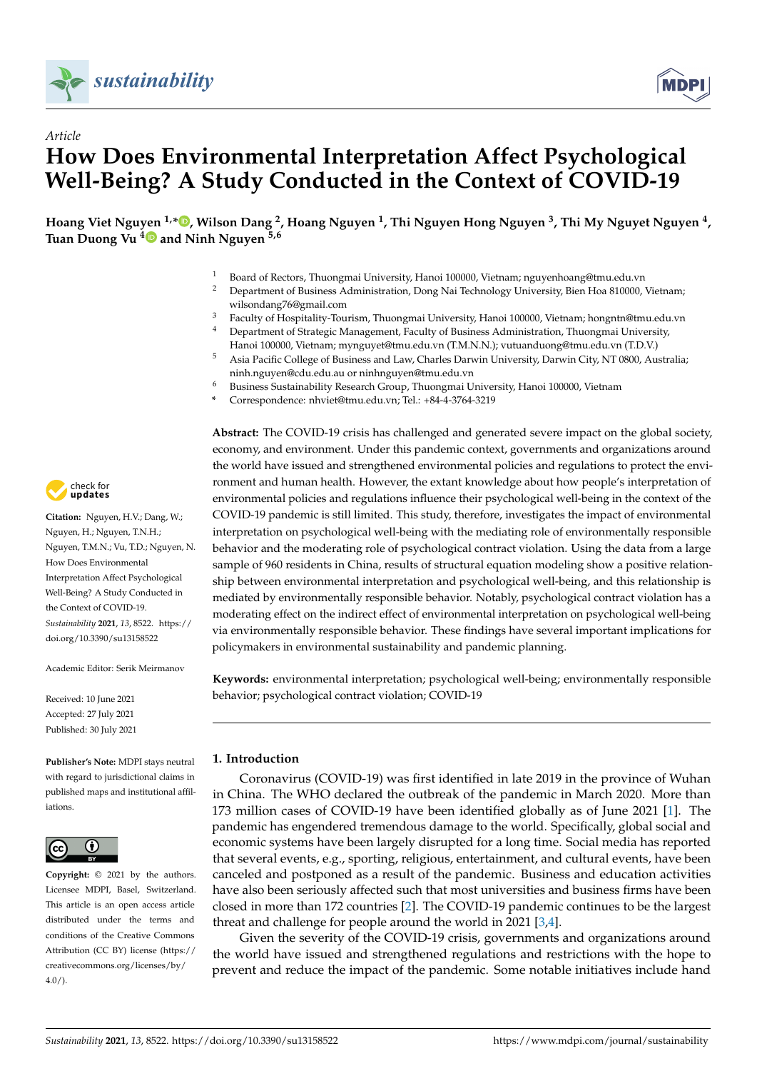

*Article*



# **How Does Environmental Interpretation Affect Psychological Well-Being? A Study Conducted in the Context of COVID-19**

**Hoang Viet Nguyen 1,[\\*](https://orcid.org/0000-0002-6491-013X) , Wilson Dang <sup>2</sup> , Hoang Nguyen <sup>1</sup> , Thi Nguyen Hong Nguyen <sup>3</sup> , Thi My Nguyet Nguyen <sup>4</sup> , Tuan Duong Vu [4](https://orcid.org/0000-0002-1525-6979) and Ninh Nguyen 5,6**

- <sup>1</sup> Board of Rectors, Thuongmai University, Hanoi 100000, Vietnam; nguyenhoang@tmu.edu.vn
- <sup>2</sup> Department of Business Administration, Dong Nai Technology University, Bien Hoa 810000, Vietnam; wilsondang76@gmail.com
- <sup>3</sup> Faculty of Hospitality-Tourism, Thuongmai University, Hanoi 100000, Vietnam; hongntn@tmu.edu.vn<br><sup>4</sup> Department of Strategic Management, Eaculty of Business Administration, Thuongmai University <sup>4</sup> Department of Strategic Management, Faculty of Business Administration, Thuongmai University,
- Hanoi 100000, Vietnam; mynguyet@tmu.edu.vn (T.M.N.N.); vutuanduong@tmu.edu.vn (T.D.V.)
- <sup>5</sup> Asia Pacific College of Business and Law, Charles Darwin University, Darwin City, NT 0800, Australia; ninh.nguyen@cdu.edu.au or ninhnguyen@tmu.edu.vn
- <sup>6</sup> Business Sustainability Research Group, Thuongmai University, Hanoi 100000, Vietnam
- **\*** Correspondence: nhviet@tmu.edu.vn; Tel.: +84-4-3764-3219

**Abstract:** The COVID-19 crisis has challenged and generated severe impact on the global society, economy, and environment. Under this pandemic context, governments and organizations around the world have issued and strengthened environmental policies and regulations to protect the environment and human health. However, the extant knowledge about how people's interpretation of environmental policies and regulations influence their psychological well-being in the context of the COVID-19 pandemic is still limited. This study, therefore, investigates the impact of environmental interpretation on psychological well-being with the mediating role of environmentally responsible behavior and the moderating role of psychological contract violation. Using the data from a large sample of 960 residents in China, results of structural equation modeling show a positive relationship between environmental interpretation and psychological well-being, and this relationship is mediated by environmentally responsible behavior. Notably, psychological contract violation has a moderating effect on the indirect effect of environmental interpretation on psychological well-being via environmentally responsible behavior. These findings have several important implications for policymakers in environmental sustainability and pandemic planning.

**Keywords:** environmental interpretation; psychological well-being; environmentally responsible behavior; psychological contract violation; COVID-19

#### **1. Introduction**

Coronavirus (COVID-19) was first identified in late 2019 in the province of Wuhan in China. The WHO declared the outbreak of the pandemic in March 2020. More than 173 million cases of COVID-19 have been identified globally as of June 2021 [\[1\]](#page-13-0). The pandemic has engendered tremendous damage to the world. Specifically, global social and economic systems have been largely disrupted for a long time. Social media has reported that several events, e.g., sporting, religious, entertainment, and cultural events, have been canceled and postponed as a result of the pandemic. Business and education activities have also been seriously affected such that most universities and business firms have been closed in more than 172 countries [\[2\]](#page-13-1). The COVID-19 pandemic continues to be the largest threat and challenge for people around the world in 2021 [\[3,](#page-13-2)[4\]](#page-13-3).

Given the severity of the COVID-19 crisis, governments and organizations around the world have issued and strengthened regulations and restrictions with the hope to prevent and reduce the impact of the pandemic. Some notable initiatives include hand



**Citation:** Nguyen, H.V.; Dang, W.; Nguyen, H.; Nguyen, T.N.H.; Nguyen, T.M.N.; Vu, T.D.; Nguyen, N. How Does Environmental Interpretation Affect Psychological Well-Being? A Study Conducted in the Context of COVID-19. *Sustainability* **2021**, *13*, 8522. [https://](https://doi.org/10.3390/su13158522) [doi.org/10.3390/su13158522](https://doi.org/10.3390/su13158522)

Academic Editor: Serik Meirmanov

Received: 10 June 2021 Accepted: 27 July 2021 Published: 30 July 2021

**Publisher's Note:** MDPI stays neutral with regard to jurisdictional claims in published maps and institutional affiliations.



**Copyright:** © 2021 by the authors. Licensee MDPI, Basel, Switzerland. This article is an open access article distributed under the terms and conditions of the Creative Commons Attribution (CC BY) license (https:/[/](https://creativecommons.org/licenses/by/4.0/) [creativecommons.org/licenses/by/](https://creativecommons.org/licenses/by/4.0/)  $4.0/$ ).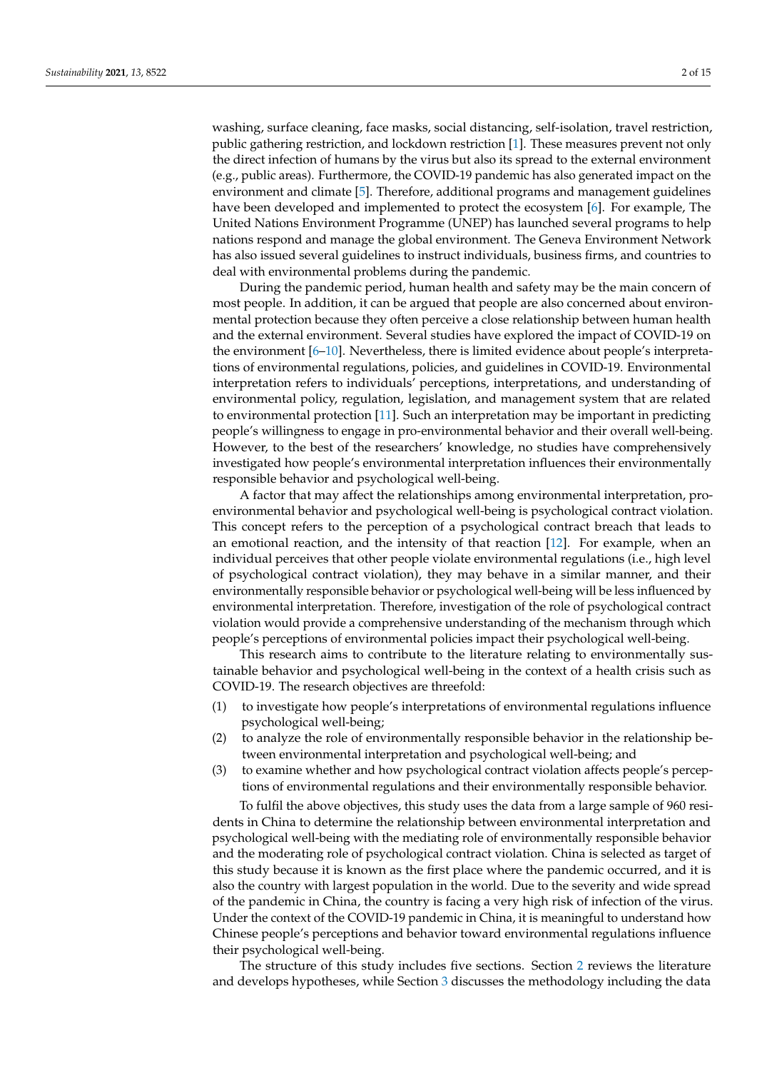washing, surface cleaning, face masks, social distancing, self-isolation, travel restriction, public gathering restriction, and lockdown restriction [\[1\]](#page-13-0). These measures prevent not only the direct infection of humans by the virus but also its spread to the external environment (e.g., public areas). Furthermore, the COVID-19 pandemic has also generated impact on the environment and climate [\[5\]](#page-13-4). Therefore, additional programs and management guidelines have been developed and implemented to protect the ecosystem [\[6\]](#page-13-5). For example, The United Nations Environment Programme (UNEP) has launched several programs to help nations respond and manage the global environment. The Geneva Environment Network has also issued several guidelines to instruct individuals, business firms, and countries to deal with environmental problems during the pandemic.

During the pandemic period, human health and safety may be the main concern of most people. In addition, it can be argued that people are also concerned about environmental protection because they often perceive a close relationship between human health and the external environment. Several studies have explored the impact of COVID-19 on the environment [\[6](#page-13-5)[–10\]](#page-13-6). Nevertheless, there is limited evidence about people's interpretations of environmental regulations, policies, and guidelines in COVID-19. Environmental interpretation refers to individuals' perceptions, interpretations, and understanding of environmental policy, regulation, legislation, and management system that are related to environmental protection [\[11\]](#page-13-7). Such an interpretation may be important in predicting people's willingness to engage in pro-environmental behavior and their overall well-being. However, to the best of the researchers' knowledge, no studies have comprehensively investigated how people's environmental interpretation influences their environmentally responsible behavior and psychological well-being.

A factor that may affect the relationships among environmental interpretation, proenvironmental behavior and psychological well-being is psychological contract violation. This concept refers to the perception of a psychological contract breach that leads to an emotional reaction, and the intensity of that reaction [\[12\]](#page-13-8). For example, when an individual perceives that other people violate environmental regulations (i.e., high level of psychological contract violation), they may behave in a similar manner, and their environmentally responsible behavior or psychological well-being will be less influenced by environmental interpretation. Therefore, investigation of the role of psychological contract violation would provide a comprehensive understanding of the mechanism through which people's perceptions of environmental policies impact their psychological well-being.

This research aims to contribute to the literature relating to environmentally sustainable behavior and psychological well-being in the context of a health crisis such as COVID-19. The research objectives are threefold:

- (1) to investigate how people's interpretations of environmental regulations influence psychological well-being;
- (2) to analyze the role of environmentally responsible behavior in the relationship between environmental interpretation and psychological well-being; and
- (3) to examine whether and how psychological contract violation affects people's perceptions of environmental regulations and their environmentally responsible behavior.

To fulfil the above objectives, this study uses the data from a large sample of 960 residents in China to determine the relationship between environmental interpretation and psychological well-being with the mediating role of environmentally responsible behavior and the moderating role of psychological contract violation. China is selected as target of this study because it is known as the first place where the pandemic occurred, and it is also the country with largest population in the world. Due to the severity and wide spread of the pandemic in China, the country is facing a very high risk of infection of the virus. Under the context of the COVID-19 pandemic in China, it is meaningful to understand how Chinese people's perceptions and behavior toward environmental regulations influence their psychological well-being.

The structure of this study includes five sections. Section [2](#page-3-0) reviews the literature and develops hypotheses, while Section [3](#page-6-0) discusses the methodology including the data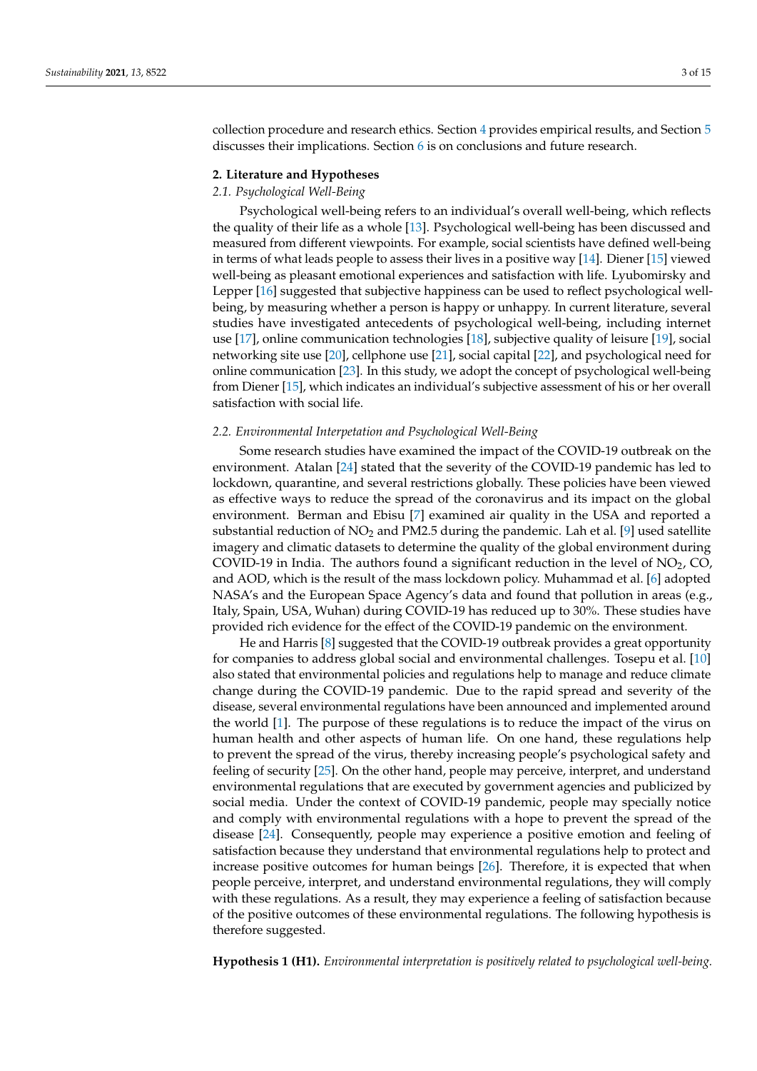collection procedure and research ethics. Section [4](#page-7-0) provides empirical results, and Section [5](#page-11-0) discusses their implications. Section [6](#page-12-0) is on conclusions and future research.

#### <span id="page-3-0"></span>**2. Literature and Hypotheses**

### *2.1. Psychological Well-Being*

Psychological well-being refers to an individual's overall well-being, which reflects the quality of their life as a whole [\[13\]](#page-13-9). Psychological well-being has been discussed and measured from different viewpoints. For example, social scientists have defined well-being in terms of what leads people to assess their lives in a positive way [\[14\]](#page-13-10). Diener [\[15\]](#page-13-11) viewed well-being as pleasant emotional experiences and satisfaction with life. Lyubomirsky and Lepper [\[16\]](#page-13-12) suggested that subjective happiness can be used to reflect psychological wellbeing, by measuring whether a person is happy or unhappy. In current literature, several studies have investigated antecedents of psychological well-being, including internet use [\[17\]](#page-13-13), online communication technologies [\[18\]](#page-14-0), subjective quality of leisure [\[19\]](#page-14-1), social networking site use [\[20\]](#page-14-2), cellphone use [\[21\]](#page-14-3), social capital [\[22\]](#page-14-4), and psychological need for online communication [\[23\]](#page-14-5). In this study, we adopt the concept of psychological well-being from Diener [\[15\]](#page-13-11), which indicates an individual's subjective assessment of his or her overall satisfaction with social life.

#### *2.2. Environmental Interpetation and Psychological Well-Being*

Some research studies have examined the impact of the COVID-19 outbreak on the environment. Atalan [\[24\]](#page-14-6) stated that the severity of the COVID-19 pandemic has led to lockdown, quarantine, and several restrictions globally. These policies have been viewed as effective ways to reduce the spread of the coronavirus and its impact on the global environment. Berman and Ebisu [\[7\]](#page-13-14) examined air quality in the USA and reported a substantial reduction of  $NO<sub>2</sub>$  and PM2.5 during the pandemic. Lah et al. [\[9\]](#page-13-15) used satellite imagery and climatic datasets to determine the quality of the global environment during COVID-19 in India. The authors found a significant reduction in the level of  $NO<sub>2</sub>$ , CO, and AOD, which is the result of the mass lockdown policy. Muhammad et al. [\[6\]](#page-13-5) adopted NASA's and the European Space Agency's data and found that pollution in areas (e.g., Italy, Spain, USA, Wuhan) during COVID-19 has reduced up to 30%. These studies have provided rich evidence for the effect of the COVID-19 pandemic on the environment.

He and Harris [\[8\]](#page-13-16) suggested that the COVID-19 outbreak provides a great opportunity for companies to address global social and environmental challenges. Tosepu et al. [\[10\]](#page-13-6) also stated that environmental policies and regulations help to manage and reduce climate change during the COVID-19 pandemic. Due to the rapid spread and severity of the disease, several environmental regulations have been announced and implemented around the world [\[1\]](#page-13-0). The purpose of these regulations is to reduce the impact of the virus on human health and other aspects of human life. On one hand, these regulations help to prevent the spread of the virus, thereby increasing people's psychological safety and feeling of security [\[25\]](#page-14-7). On the other hand, people may perceive, interpret, and understand environmental regulations that are executed by government agencies and publicized by social media. Under the context of COVID-19 pandemic, people may specially notice and comply with environmental regulations with a hope to prevent the spread of the disease [\[24\]](#page-14-6). Consequently, people may experience a positive emotion and feeling of satisfaction because they understand that environmental regulations help to protect and increase positive outcomes for human beings [\[26\]](#page-14-8). Therefore, it is expected that when people perceive, interpret, and understand environmental regulations, they will comply with these regulations. As a result, they may experience a feeling of satisfaction because of the positive outcomes of these environmental regulations. The following hypothesis is therefore suggested.

**Hypothesis 1 (H1).** *Environmental interpretation is positively related to psychological well-being.*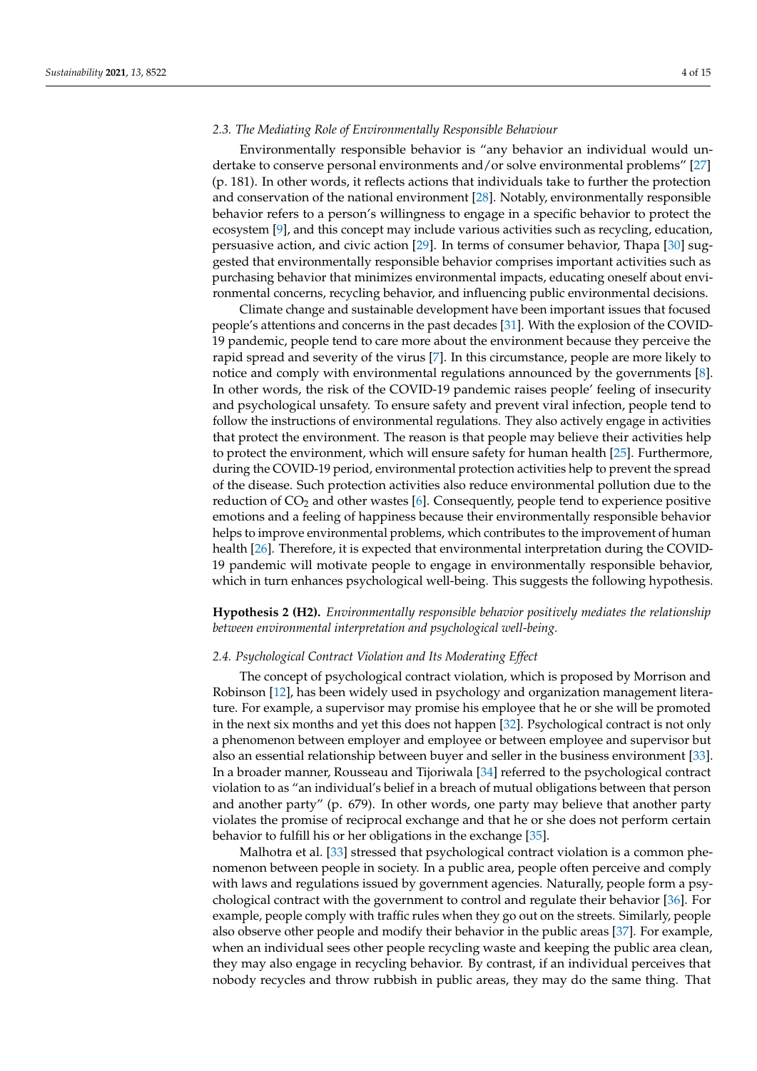### *2.3. The Mediating Role of Environmentally Responsible Behaviour*

Environmentally responsible behavior is "any behavior an individual would undertake to conserve personal environments and/or solve environmental problems" [\[27\]](#page-14-9) (p. 181). In other words, it reflects actions that individuals take to further the protection and conservation of the national environment [\[28\]](#page-14-10). Notably, environmentally responsible behavior refers to a person's willingness to engage in a specific behavior to protect the ecosystem [\[9\]](#page-13-15), and this concept may include various activities such as recycling, education, persuasive action, and civic action [\[29\]](#page-14-11). In terms of consumer behavior, Thapa [\[30\]](#page-14-12) suggested that environmentally responsible behavior comprises important activities such as purchasing behavior that minimizes environmental impacts, educating oneself about environmental concerns, recycling behavior, and influencing public environmental decisions.

Climate change and sustainable development have been important issues that focused people's attentions and concerns in the past decades [\[31\]](#page-14-13). With the explosion of the COVID-19 pandemic, people tend to care more about the environment because they perceive the rapid spread and severity of the virus [\[7\]](#page-13-14). In this circumstance, people are more likely to notice and comply with environmental regulations announced by the governments [\[8\]](#page-13-16). In other words, the risk of the COVID-19 pandemic raises people' feeling of insecurity and psychological unsafety. To ensure safety and prevent viral infection, people tend to follow the instructions of environmental regulations. They also actively engage in activities that protect the environment. The reason is that people may believe their activities help to protect the environment, which will ensure safety for human health [\[25\]](#page-14-7). Furthermore, during the COVID-19 period, environmental protection activities help to prevent the spread of the disease. Such protection activities also reduce environmental pollution due to the reduction of  $CO<sub>2</sub>$  and other wastes [\[6\]](#page-13-5). Consequently, people tend to experience positive emotions and a feeling of happiness because their environmentally responsible behavior helps to improve environmental problems, which contributes to the improvement of human health [\[26\]](#page-14-8). Therefore, it is expected that environmental interpretation during the COVID-19 pandemic will motivate people to engage in environmentally responsible behavior, which in turn enhances psychological well-being. This suggests the following hypothesis.

**Hypothesis 2 (H2).** *Environmentally responsible behavior positively mediates the relationship between environmental interpretation and psychological well-being.*

#### *2.4. Psychological Contract Violation and Its Moderating Effect*

The concept of psychological contract violation, which is proposed by Morrison and Robinson [\[12\]](#page-13-8), has been widely used in psychology and organization management literature. For example, a supervisor may promise his employee that he or she will be promoted in the next six months and yet this does not happen [\[32\]](#page-14-14). Psychological contract is not only a phenomenon between employer and employee or between employee and supervisor but also an essential relationship between buyer and seller in the business environment [\[33\]](#page-14-15). In a broader manner, Rousseau and Tijoriwala [\[34\]](#page-14-16) referred to the psychological contract violation to as "an individual's belief in a breach of mutual obligations between that person and another party" (p. 679). In other words, one party may believe that another party violates the promise of reciprocal exchange and that he or she does not perform certain behavior to fulfill his or her obligations in the exchange [\[35\]](#page-14-17).

Malhotra et al. [\[33\]](#page-14-15) stressed that psychological contract violation is a common phenomenon between people in society. In a public area, people often perceive and comply with laws and regulations issued by government agencies. Naturally, people form a psychological contract with the government to control and regulate their behavior [\[36\]](#page-14-18). For example, people comply with traffic rules when they go out on the streets. Similarly, people also observe other people and modify their behavior in the public areas [\[37\]](#page-14-19). For example, when an individual sees other people recycling waste and keeping the public area clean, they may also engage in recycling behavior. By contrast, if an individual perceives that nobody recycles and throw rubbish in public areas, they may do the same thing. That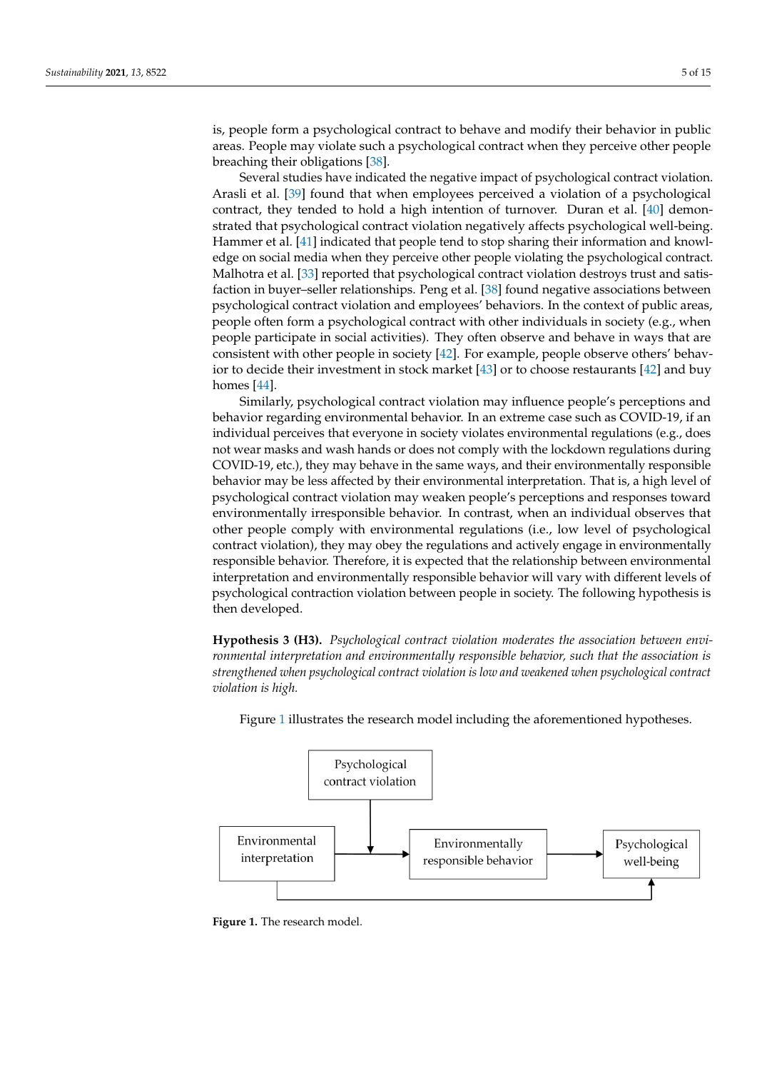is, people form a psychological contract to behave and modify their behavior in public areas. People may violate such a psychological contract when they perceive other people breaching their obligations [\[38\]](#page-14-20).

Several studies have indicated the negative impact of psychological contract violation. Arasli et al. [\[39\]](#page-14-21) found that when employees perceived a violation of a psychological contract, they tended to hold a high intention of turnover. Duran et al. [\[40\]](#page-14-22) demonstrated that psychological contract violation negatively affects psychological well-being. Hammer et al. [\[41\]](#page-14-23) indicated that people tend to stop sharing their information and knowledge on social media when they perceive other people violating the psychological contract. Malhotra et al. [\[33\]](#page-14-15) reported that psychological contract violation destroys trust and satisfaction in buyer–seller relationships. Peng et al. [\[38\]](#page-14-20) found negative associations between psychological contract violation and employees' behaviors. In the context of public areas, people often form a psychological contract with other individuals in society (e.g., when people participate in social activities). They often observe and behave in ways that are consistent with other people in society [\[42\]](#page-14-24). For example, people observe others' behavior to decide their investment in stock market [\[43\]](#page-14-25) or to choose restaurants [\[42\]](#page-14-24) and buy homes [\[44\]](#page-14-26).

Similarly, psychological contract violation may influence people's perceptions and behavior regarding environmental behavior. In an extreme case such as COVID-19, if an individual perceives that everyone in society violates environmental regulations (e.g., does not wear masks and wash hands or does not comply with the lockdown regulations during COVID-19, etc.), they may behave in the same ways, and their environmentally responsible behavior may be less affected by their environmental interpretation. That is, a high level of psychological contract violation may weaken people's perceptions and responses toward environmentally irresponsible behavior. In contrast, when an individual observes that other people comply with environmental regulations (i.e., low level of psychological contract violation), they may obey the regulations and actively engage in environmentally responsible behavior. Therefore, it is expected that the relationship between environmental interpretation and environmentally responsible behavior will vary with different levels of psychological contraction violation between people in society. The following hypothesis is then developed.

**Hypothesis 3 (H3).** *Psychological contract violation moderates the association between environmental interpretation and environmentally responsible behavior, such that the association is strengthened when psychological contract violation is low and weakened when psychological contract violation is high. Subturtion is rign.* 

<span id="page-5-0"></span>

Figure [1](#page-5-0) illustrates the research model including the aforementioned hypotheses.

**Figure 1.** The research model.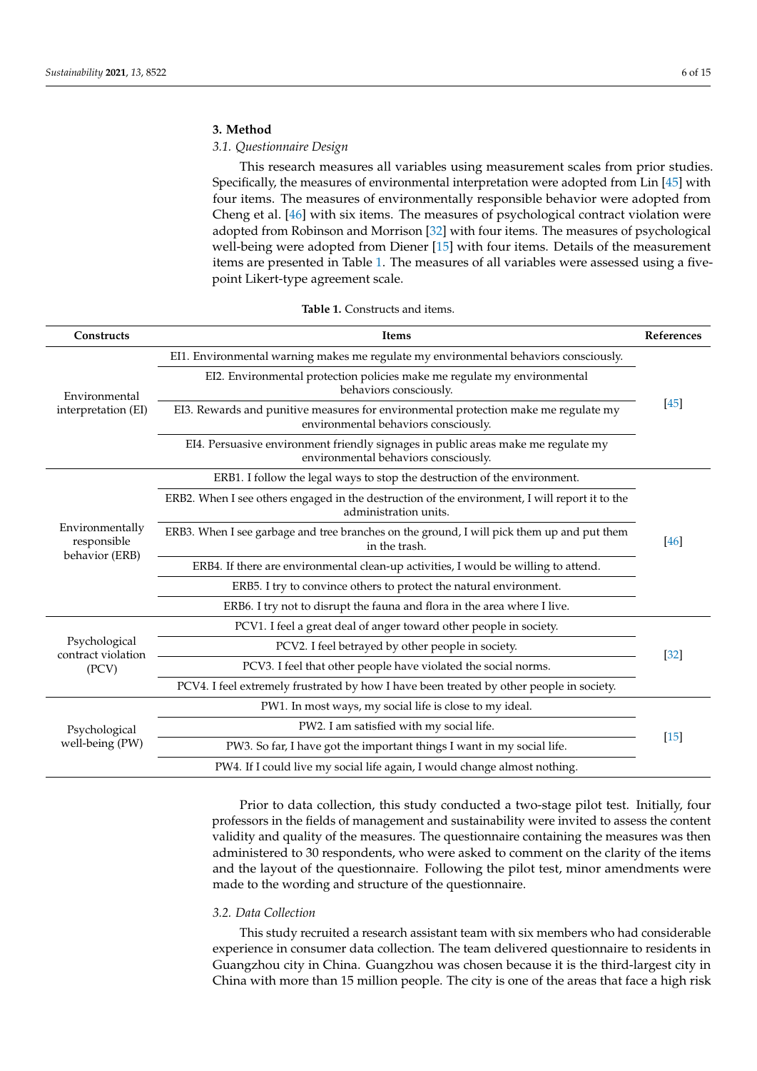#### <span id="page-6-0"></span>**3. Method**

## *3.1. Questionnaire Design*

This research measures all variables using measurement scales from prior studies. Specifically, the measures of environmental interpretation were adopted from Lin [\[45\]](#page-14-27) with four items. The measures of environmentally responsible behavior were adopted from Cheng et al. [\[46\]](#page-14-28) with six items. The measures of psychological contract violation were adopted from Robinson and Morrison [\[32\]](#page-14-14) with four items. The measures of psychological well-being were adopted from Diener [\[15\]](#page-13-11) with four items. Details of the measurement items are presented in Table [1.](#page-6-1) The measures of all variables were assessed using a fivepoint Likert-type agreement scale.

<span id="page-6-1"></span>

| Constructs                                   | Items                                                                                                                                                                                                                                                                    | References |  |  |
|----------------------------------------------|--------------------------------------------------------------------------------------------------------------------------------------------------------------------------------------------------------------------------------------------------------------------------|------------|--|--|
| Environmental<br>interpretation (EI)         | EI1. Environmental warning makes me regulate my environmental behaviors consciously.                                                                                                                                                                                     |            |  |  |
|                                              | EI2. Environmental protection policies make me regulate my environmental<br>behaviors consciously.                                                                                                                                                                       |            |  |  |
|                                              | EI3. Rewards and punitive measures for environmental protection make me regulate my<br>environmental behaviors consciously.                                                                                                                                              |            |  |  |
|                                              | EI4. Persuasive environment friendly signages in public areas make me regulate my<br>environmental behaviors consciously.                                                                                                                                                |            |  |  |
|                                              | ERB1. I follow the legal ways to stop the destruction of the environment.                                                                                                                                                                                                |            |  |  |
| Environmentally<br>responsible               | ERB2. When I see others engaged in the destruction of the environment, I will report it to the<br>administration units.                                                                                                                                                  |            |  |  |
|                                              | ERB3. When I see garbage and tree branches on the ground, I will pick them up and put them<br>in the trash.<br>ERB4. If there are environmental clean-up activities, I would be willing to attend.<br>ERB5. I try to convince others to protect the natural environment. |            |  |  |
| behavior (ERB)                               |                                                                                                                                                                                                                                                                          |            |  |  |
|                                              |                                                                                                                                                                                                                                                                          |            |  |  |
|                                              | ERB6. I try not to disrupt the fauna and flora in the area where I live.                                                                                                                                                                                                 |            |  |  |
|                                              | PCV1. I feel a great deal of anger toward other people in society.                                                                                                                                                                                                       |            |  |  |
| Psychological<br>contract violation<br>(PCV) | PCV2. I feel betrayed by other people in society.                                                                                                                                                                                                                        |            |  |  |
|                                              | PCV3. I feel that other people have violated the social norms.                                                                                                                                                                                                           |            |  |  |
|                                              | PCV4. I feel extremely frustrated by how I have been treated by other people in society.                                                                                                                                                                                 |            |  |  |
| Psychological<br>well-being (PW)             | PW1. In most ways, my social life is close to my ideal.                                                                                                                                                                                                                  |            |  |  |
|                                              | PW2. I am satisfied with my social life.                                                                                                                                                                                                                                 |            |  |  |
|                                              | PW3. So far, I have got the important things I want in my social life.                                                                                                                                                                                                   |            |  |  |
|                                              | PW4. If I could live my social life again, I would change almost nothing.                                                                                                                                                                                                |            |  |  |

**Table 1.** Constructs and items.

Prior to data collection, this study conducted a two-stage pilot test. Initially, four professors in the fields of management and sustainability were invited to assess the content validity and quality of the measures. The questionnaire containing the measures was then administered to 30 respondents, who were asked to comment on the clarity of the items and the layout of the questionnaire. Following the pilot test, minor amendments were made to the wording and structure of the questionnaire.

## *3.2. Data Collection*

This study recruited a research assistant team with six members who had considerable experience in consumer data collection. The team delivered questionnaire to residents in Guangzhou city in China. Guangzhou was chosen because it is the third-largest city in China with more than 15 million people. The city is one of the areas that face a high risk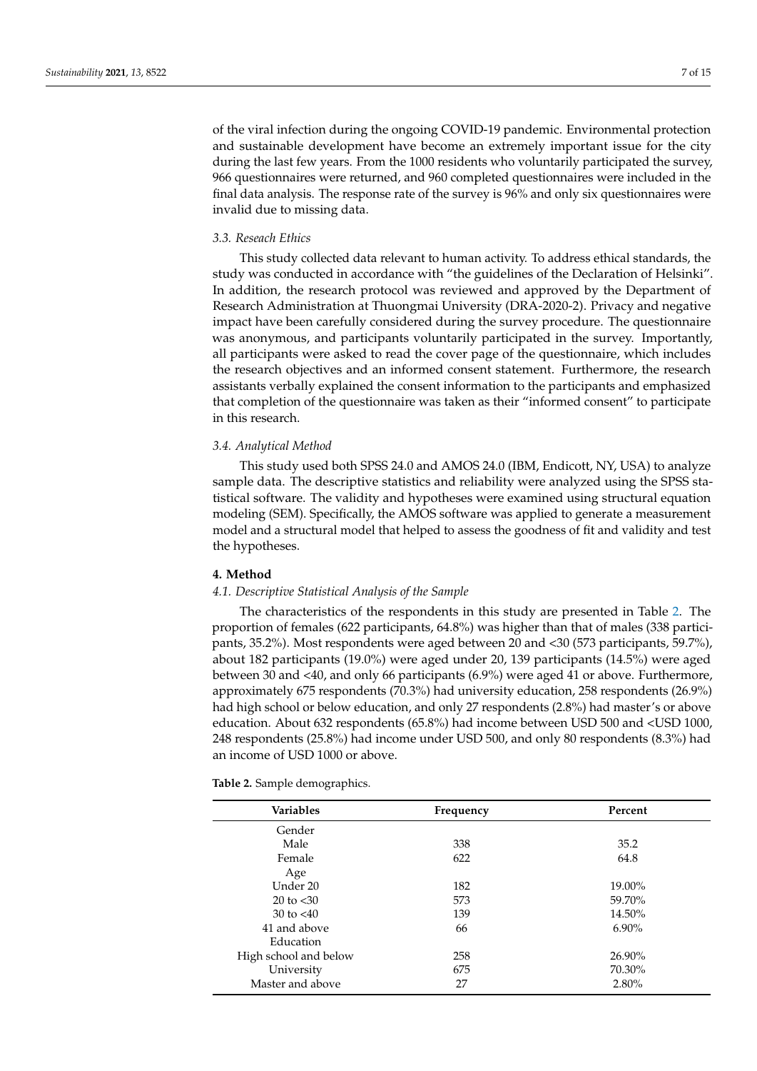of the viral infection during the ongoing COVID-19 pandemic. Environmental protection and sustainable development have become an extremely important issue for the city during the last few years. From the 1000 residents who voluntarily participated the survey, 966 questionnaires were returned, and 960 completed questionnaires were included in the final data analysis. The response rate of the survey is 96% and only six questionnaires were invalid due to missing data.

#### *3.3. Reseach Ethics*

This study collected data relevant to human activity. To address ethical standards, the study was conducted in accordance with "the guidelines of the Declaration of Helsinki". In addition, the research protocol was reviewed and approved by the Department of Research Administration at Thuongmai University (DRA-2020-2). Privacy and negative impact have been carefully considered during the survey procedure. The questionnaire was anonymous, and participants voluntarily participated in the survey. Importantly, all participants were asked to read the cover page of the questionnaire, which includes the research objectives and an informed consent statement. Furthermore, the research assistants verbally explained the consent information to the participants and emphasized that completion of the questionnaire was taken as their "informed consent" to participate in this research.

#### *3.4. Analytical Method*

This study used both SPSS 24.0 and AMOS 24.0 (IBM, Endicott, NY, USA) to analyze sample data. The descriptive statistics and reliability were analyzed using the SPSS statistical software. The validity and hypotheses were examined using structural equation modeling (SEM). Specifically, the AMOS software was applied to generate a measurement model and a structural model that helped to assess the goodness of fit and validity and test the hypotheses.

#### <span id="page-7-0"></span>**4. Method**

#### *4.1. Descriptive Statistical Analysis of the Sample*

The characteristics of the respondents in this study are presented in Table [2.](#page-8-0) The proportion of females (622 participants, 64.8%) was higher than that of males (338 participants, 35.2%). Most respondents were aged between 20 and <30 (573 participants, 59.7%), about 182 participants (19.0%) were aged under 20, 139 participants (14.5%) were aged between 30 and <40, and only 66 participants (6.9%) were aged 41 or above. Furthermore, approximately 675 respondents (70.3%) had university education, 258 respondents (26.9%) had high school or below education, and only 27 respondents (2.8%) had master's or above education. About 632 respondents (65.8%) had income between USD 500 and <USD 1000, 248 respondents (25.8%) had income under USD 500, and only 80 respondents (8.3%) had an income of USD 1000 or above.

**Table 2.** Sample demographics.

| <b>Variables</b>      | Frequency | Percent  |  |  |
|-----------------------|-----------|----------|--|--|
| Gender                |           |          |  |  |
| Male                  | 338       | 35.2     |  |  |
| Female                | 622       | 64.8     |  |  |
| Age                   |           |          |  |  |
| Under 20              | 182       | 19.00%   |  |  |
| $20 \text{ to } < 30$ | 573       | 59.70%   |  |  |
| 30 to $< 40$          | 139       | 14.50%   |  |  |
| 41 and above          | 66        | $6.90\%$ |  |  |
| Education             |           |          |  |  |
| High school and below | 258       | 26.90%   |  |  |
| University            | 675       | 70.30%   |  |  |
| Master and above      | 27        | $2.80\%$ |  |  |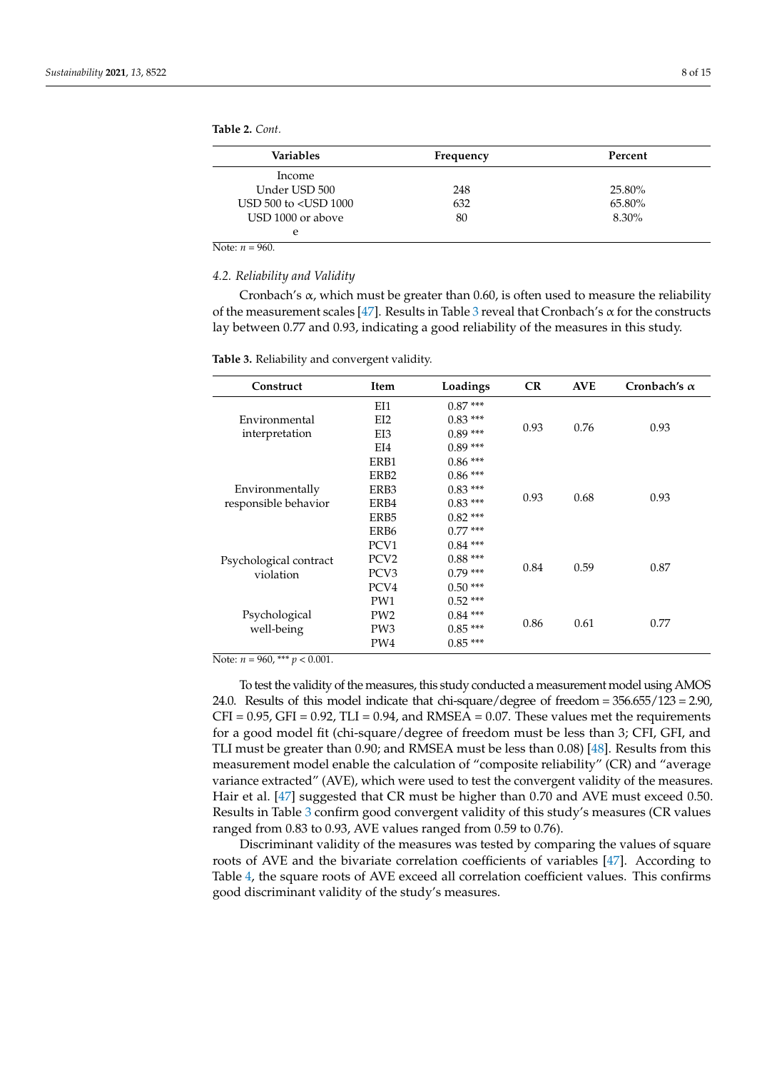<span id="page-8-0"></span>**Table 2.** *Cont.*

| <b>Variables</b>              | Frequency | Percent |
|-------------------------------|-----------|---------|
| Income                        |           |         |
| Under USD 500                 | 248       | 25.80%  |
| USD $500$ to $\lt$ USD $1000$ | 632       | 65.80%  |
| USD 1000 or above             | 80        | 8.30%   |
| e                             |           |         |

Note:  $n = 960$ .

#### *4.2. Reliability and Validity*

Cronbach's  $\alpha$ , which must be greater than 0.60, is often used to measure the reliability of the measurement scales [\[47\]](#page-15-0). Results in Table [3](#page-8-1) reveal that Cronbach's  $\alpha$  for the constructs lay between 0.77 and 0.93, indicating a good reliability of the measures in this study.

<span id="page-8-1"></span>**Table 3.** Reliability and convergent validity.

| Construct              | Item             | Loadings  | CR                                                  | <b>AVE</b> | Cronbach's $\alpha$ |  |
|------------------------|------------------|-----------|-----------------------------------------------------|------------|---------------------|--|
|                        | EI1              | $0.87***$ |                                                     | 0.76       |                     |  |
| Environmental          | EI2              | $0.83***$ | 0.93                                                |            |                     |  |
| interpretation         | EI3              | $0.89***$ |                                                     |            | 0.93                |  |
|                        | EI4              | $0.89***$ |                                                     |            |                     |  |
|                        | ERB1             | $0.86***$ | 0.93                                                |            |                     |  |
|                        | ERB <sub>2</sub> | $0.86***$ |                                                     | 0.68       |                     |  |
| Environmentally        | ERB3             | $0.83***$ |                                                     |            | 0.93                |  |
| responsible behavior   | ERB4             | $0.83***$ |                                                     |            |                     |  |
|                        | ERB5             | $0.82***$ |                                                     |            |                     |  |
|                        | ERB6             | $0.77***$ |                                                     |            |                     |  |
|                        | PCV1             | $0.84***$ | $0.88***$<br>0.84<br>0.59<br>$0.79***$<br>$0.50***$ |            |                     |  |
| Psychological contract | PCV <sub>2</sub> |           |                                                     |            |                     |  |
| violation              | PCV <sub>3</sub> |           |                                                     |            | 0.87                |  |
|                        | PCV4             |           |                                                     |            |                     |  |
|                        | PW1              | $0.52***$ | 0.86                                                |            |                     |  |
| Psychological          | PW <sub>2</sub>  | $0.84***$ |                                                     | 0.61       |                     |  |
| well-being             | PW <sub>3</sub>  | $0.85***$ |                                                     |            | 0.77                |  |
|                        | PW4              | $0.85***$ |                                                     |            |                     |  |

Note:  $n = 960$ , \*\*\*  $p < 0.001$ .

To test the validity of the measures, this study conducted a measurement model using AMOS 24.0. Results of this model indicate that chi-square/degree of freedom = 356.655/123 = 2.90,  $CFI = 0.95$ ,  $GFI = 0.92$ ,  $TLI = 0.94$ , and  $RMSEA = 0.07$ . These values met the requirements for a good model fit (chi-square/degree of freedom must be less than 3; CFI, GFI, and TLI must be greater than 0.90; and RMSEA must be less than 0.08) [\[48\]](#page-15-1). Results from this measurement model enable the calculation of "composite reliability" (CR) and "average variance extracted" (AVE), which were used to test the convergent validity of the measures. Hair et al. [\[47\]](#page-15-0) suggested that CR must be higher than 0.70 and AVE must exceed 0.50. Results in Table [3](#page-8-1) confirm good convergent validity of this study's measures (CR values ranged from 0.83 to 0.93, AVE values ranged from 0.59 to 0.76).

Discriminant validity of the measures was tested by comparing the values of square roots of AVE and the bivariate correlation coefficients of variables [\[47\]](#page-15-0). According to Table [4,](#page-9-0) the square roots of AVE exceed all correlation coefficient values. This confirms good discriminant validity of the study's measures.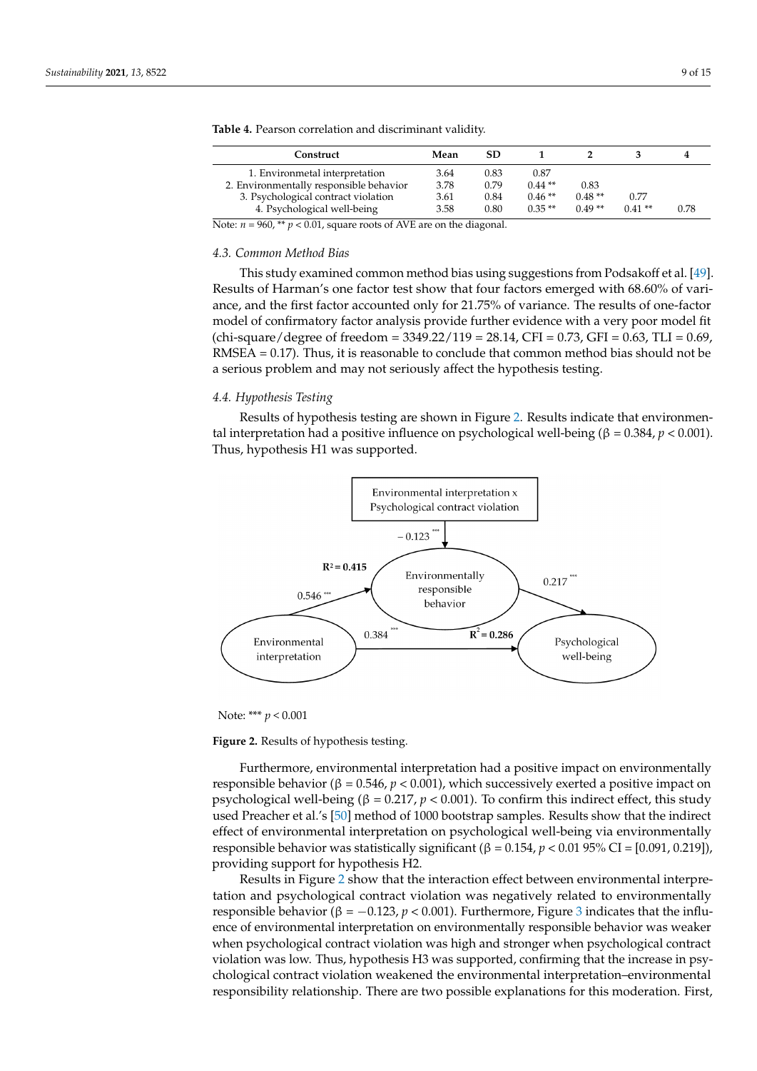| Mean | <b>SD</b> |          |          |          |      |
|------|-----------|----------|----------|----------|------|
| 3.64 | 0.83      | 0.87     |          |          |      |
| 3.78 | 0.79      | $0.44**$ | 0.83     |          |      |
| 3.61 | 0.84      | $0.46**$ | $0.48**$ | 0.77     |      |
| 3.58 | 0.80      | $0.35**$ | $0.49**$ | $0.41**$ | 0.78 |
|      |           |          |          |          |      |

<span id="page-9-0"></span>**Table 4.** Pearson correlation and discriminant validity.

Note:  $n = 960$ ,  $\rightarrow \infty$  *p*  $\rightarrow$  0.01, square roots of AVE are on the diagonal.

# *4.3. Common Method Bias 4.3. Common Method Bias*

This study examined common method bias using suggestions from Podsakoff et al. [49]. This study examined common method bias using suggestions from Podsakoff [et a](#page-15-2)l. Results of Harman's one factor test show that four factors emerged with 68.60% of variance, and the first factor accounted only for 21.75% of variance. The results of one-factor model of confirmatory factor analysis provide further evidence with a very poor model fit  $\frac{\text{chi-square/degree of freedom}}{3349.22/119} = 28.14$ , CFI = 0.73, GFI = 0.63, TLI = 0.69,  $RMSEA = 0.17$ ). Thus, it is reasonable to conclude that common method bias should not be a serious problem and may not seriously affect the hypothesis testing.

## *4.4. Hypothesis Testing 4.4. Hypothesis Testing*

Results of hypothesis testing are shown in Fig[ur](#page-9-1)e 2. Results indicate that environmental interpretation had a positive influence on psychological well-being (β =  $0.384$ , *p* <  $0.001$ ). Thus, hypothesis H1 was supported. 0.001). Thus, hypothesis H1 was supported.

<span id="page-9-1"></span>

Note: \*\*\* *p* < 0.001

**Figure 2.** Results of hypothesis testing. **Figure 2.** Results of hypothesis testing.

Furthermore, environmental interpretation had a positive impact on environmentally responsible behavior ( $β = 0.546$ ,  $p < 0.001$ ), which successively exerted a positive impact on psychological well-being ( $\beta = 0.217$ ,  $p < 0.001$ ). To confirm this indirect effect, this study used Preacher et al.'s [\[50\]](#page-15-3) method of 1000 bootstrap samples. Results show that the indirect effect of environmental interpretation on psychological well-being via environmentally responsible behavior was statistically significant (β = 0.154, *p* < 0.01 95% CI = [0.091, 0.219]), providing support for hypothesis H2.

Results in Figure [2](#page-9-1) show that the interaction effect between environmental interpretation and psychological contract violation was negatively related to environmentally responsible behavior ( $\beta = -0.123$  $\beta = -0.123$ ,  $p < 0.001$ ). Furthermore, Figure 3 indicates that the influence of environmental interpretation on environmentally responsible behavior was weaker when psychological contract violation was high and stronger when psychological contract violation was low. Thus, hypothesis H3 was supported, confirming that the increase in psychological contract violation weakened the environmental interpretation–environmental responsibility relationship. There are two possible explanations for this moderation. First,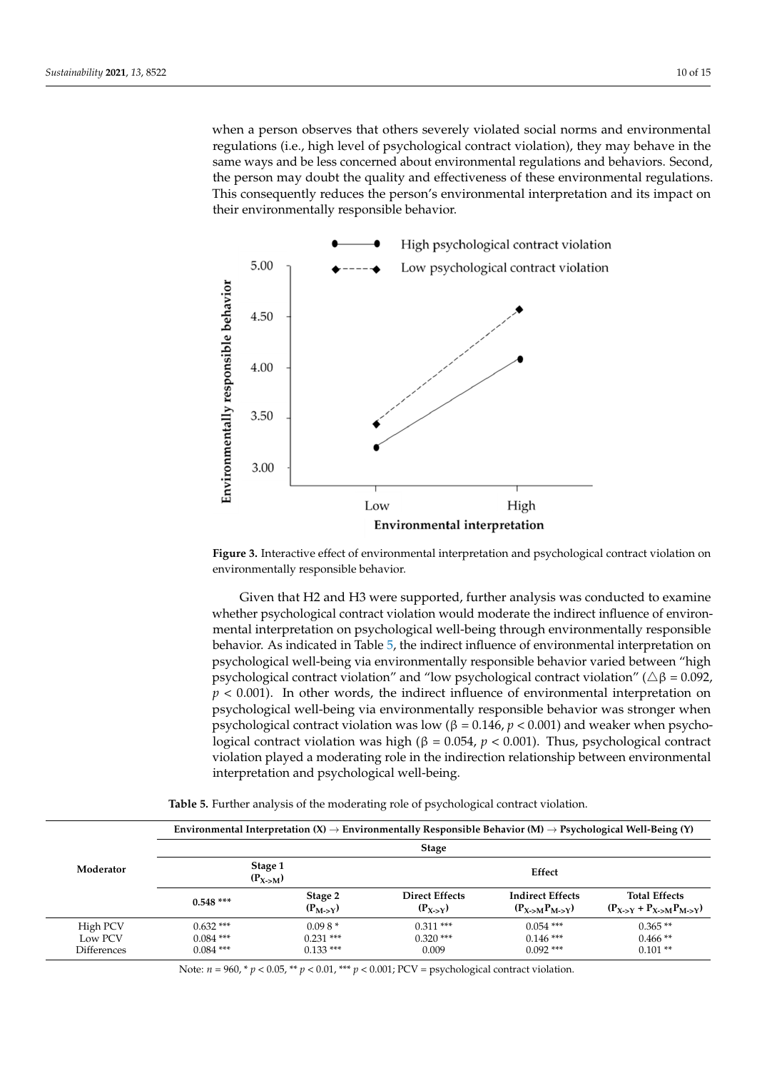when a person observes that others severely violated social norms and environmental regulations (i.e., high level of psychological contract violation), they may behave in the same ways and be less concerned about environmental regulations and behaviors. Second, the person may doubt the quality and effectiveness of these environmental regulations.<br>This consequently reduces the person's environmental interpretation and its interpretation This consequently reduces the person's environmental interpretation and its impact on their environmentally responsible behavior. its impact on their environmentally responsible behavior.

vironmental responsibility relationship. There are two possible explanations for this model  $\alpha$ 

<span id="page-10-0"></span>

**EXECT OF EXECT OF ENGINEER FIGURE 2. INTERFECT OF ENGINEER EXECUTIVE SYSTEMS** environmentally responsible behavior. **Figure 3.** Interactive effect of environmental interpretation and psychological contract violation on

whether psychological contract violation would moderate the indirect influence of environ-<br>whether psychological contract violation would moderate the indirect influence of environ-mether interpretation on psychological wen-being unough environmentally responsible<br>behavior. As indicated in Table [5,](#page-10-1) the indirect influence of environmental interpretation on psychological well-being via environmentally responsible behavior varied between "high psychological contract violation" and "low psychological contract violation" ( $Δβ = 0.092$ ,  $p < 0.001$ ). In other words, the indirect influence of environmental interpretation on psychological well-being via environmentally responsible behavior was stronger when<br>were also included we tractact violation was law  $(2-2.1\%)$  and  $(2.021)$  and results when he were be- $\beta$  psychological contract violation was how ( $\beta$  = 0.140,  $\beta$  < 0.001). Thus, psychological contract indirect violation was high ( $\beta$  = 0.054,  $\beta$  < 0.001). Thus, psychological contract violation played a moderating role in the indirection relationship between environmental interpretation and psychological well-being. Given that H2 and H3 were supported, further analysis was conducted to examine mental interpretation on psychological well-being through environmentally responsible psychological contract violation was low (β = 0.146, *p* < 0.001) and weaker when psycho-

<span id="page-10-1"></span>

| Moderator                          | Environmental Interpretation (X) $\rightarrow$ Environmentally Responsible Behavior (M) $\rightarrow$ Psychological Well-Being (Y) |                                       |                                                 |                                                                     |                                                       |  |  |
|------------------------------------|------------------------------------------------------------------------------------------------------------------------------------|---------------------------------------|-------------------------------------------------|---------------------------------------------------------------------|-------------------------------------------------------|--|--|
|                                    | <b>Stage</b>                                                                                                                       |                                       |                                                 |                                                                     |                                                       |  |  |
|                                    | Stage 1<br>$(P_{X\rightarrow M})$                                                                                                  |                                       | Effect                                          |                                                                     |                                                       |  |  |
|                                    | $0.548***$                                                                                                                         | Stage 2<br>$(P_{M\rightarrow Y})$     | <b>Direct Effects</b><br>$(P_{X\rightarrow Y})$ | <b>Indirect Effects</b><br>$(P_{X\rightarrow M}P_{M\rightarrow Y})$ | <b>Total Effects</b><br>$(P_{X>Y} + P_{X> M}P_{M>Y})$ |  |  |
| High PCV<br>Low PCV<br>Differences | $0.632***$<br>$0.084$ ***<br>$0.084$ ***                                                                                           | $0.098*$<br>$0.231$ ***<br>$0.133***$ | $0.311***$<br>$0.320$ ***<br>0.009              | $0.054$ ***<br>$0.146$ ***<br>$0.092$ ***                           | $0.365**$<br>$0.466**$<br>$0.101**$                   |  |  |

psychological contract violation was high (β = 0.054, *p* < 0.001). Thus, psychological con-Table 5. Further analysis of the moderating role of psychological contract violation.<br><u>Table 5.</u> Further analysis of the moderating role of psychological contract violation.

Note: *n* = 960, \* *p* < 0.05, \*\* *p* < 0.01, \*\*\* *p* < 0.001; PCV = psychological contract violation.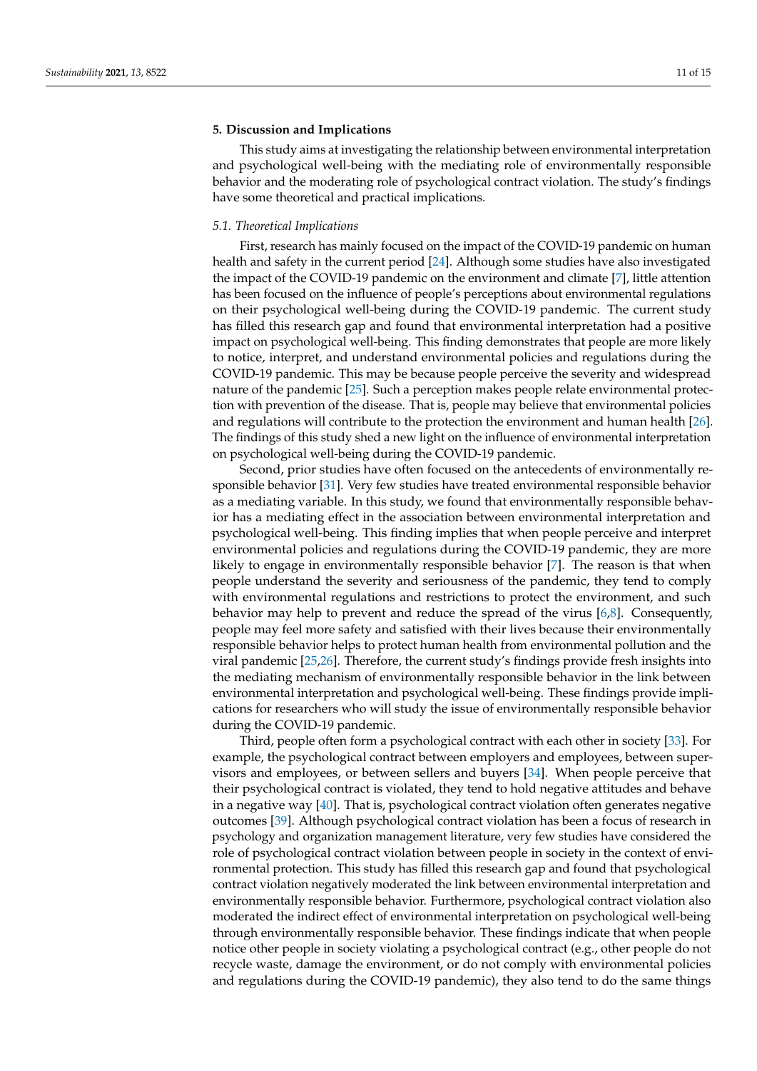#### <span id="page-11-0"></span>**5. Discussion and Implications**

This study aims at investigating the relationship between environmental interpretation and psychological well-being with the mediating role of environmentally responsible behavior and the moderating role of psychological contract violation. The study's findings have some theoretical and practical implications.

#### *5.1. Theoretical Implications*

First, research has mainly focused on the impact of the COVID-19 pandemic on human health and safety in the current period [\[24\]](#page-14-6). Although some studies have also investigated the impact of the COVID-19 pandemic on the environment and climate [\[7\]](#page-13-14), little attention has been focused on the influence of people's perceptions about environmental regulations on their psychological well-being during the COVID-19 pandemic. The current study has filled this research gap and found that environmental interpretation had a positive impact on psychological well-being. This finding demonstrates that people are more likely to notice, interpret, and understand environmental policies and regulations during the COVID-19 pandemic. This may be because people perceive the severity and widespread nature of the pandemic [\[25\]](#page-14-7). Such a perception makes people relate environmental protection with prevention of the disease. That is, people may believe that environmental policies and regulations will contribute to the protection the environment and human health [\[26\]](#page-14-8). The findings of this study shed a new light on the influence of environmental interpretation on psychological well-being during the COVID-19 pandemic.

Second, prior studies have often focused on the antecedents of environmentally responsible behavior [\[31\]](#page-14-13). Very few studies have treated environmental responsible behavior as a mediating variable. In this study, we found that environmentally responsible behavior has a mediating effect in the association between environmental interpretation and psychological well-being. This finding implies that when people perceive and interpret environmental policies and regulations during the COVID-19 pandemic, they are more likely to engage in environmentally responsible behavior [\[7\]](#page-13-14). The reason is that when people understand the severity and seriousness of the pandemic, they tend to comply with environmental regulations and restrictions to protect the environment, and such behavior may help to prevent and reduce the spread of the virus [\[6](#page-13-5)[,8\]](#page-13-16). Consequently, people may feel more safety and satisfied with their lives because their environmentally responsible behavior helps to protect human health from environmental pollution and the viral pandemic [\[25,](#page-14-7)[26\]](#page-14-8). Therefore, the current study's findings provide fresh insights into the mediating mechanism of environmentally responsible behavior in the link between environmental interpretation and psychological well-being. These findings provide implications for researchers who will study the issue of environmentally responsible behavior during the COVID-19 pandemic.

Third, people often form a psychological contract with each other in society [\[33\]](#page-14-15). For example, the psychological contract between employers and employees, between supervisors and employees, or between sellers and buyers [\[34\]](#page-14-16). When people perceive that their psychological contract is violated, they tend to hold negative attitudes and behave in a negative way  $[40]$ . That is, psychological contract violation often generates negative outcomes [\[39\]](#page-14-21). Although psychological contract violation has been a focus of research in psychology and organization management literature, very few studies have considered the role of psychological contract violation between people in society in the context of environmental protection. This study has filled this research gap and found that psychological contract violation negatively moderated the link between environmental interpretation and environmentally responsible behavior. Furthermore, psychological contract violation also moderated the indirect effect of environmental interpretation on psychological well-being through environmentally responsible behavior. These findings indicate that when people notice other people in society violating a psychological contract (e.g., other people do not recycle waste, damage the environment, or do not comply with environmental policies and regulations during the COVID-19 pandemic), they also tend to do the same things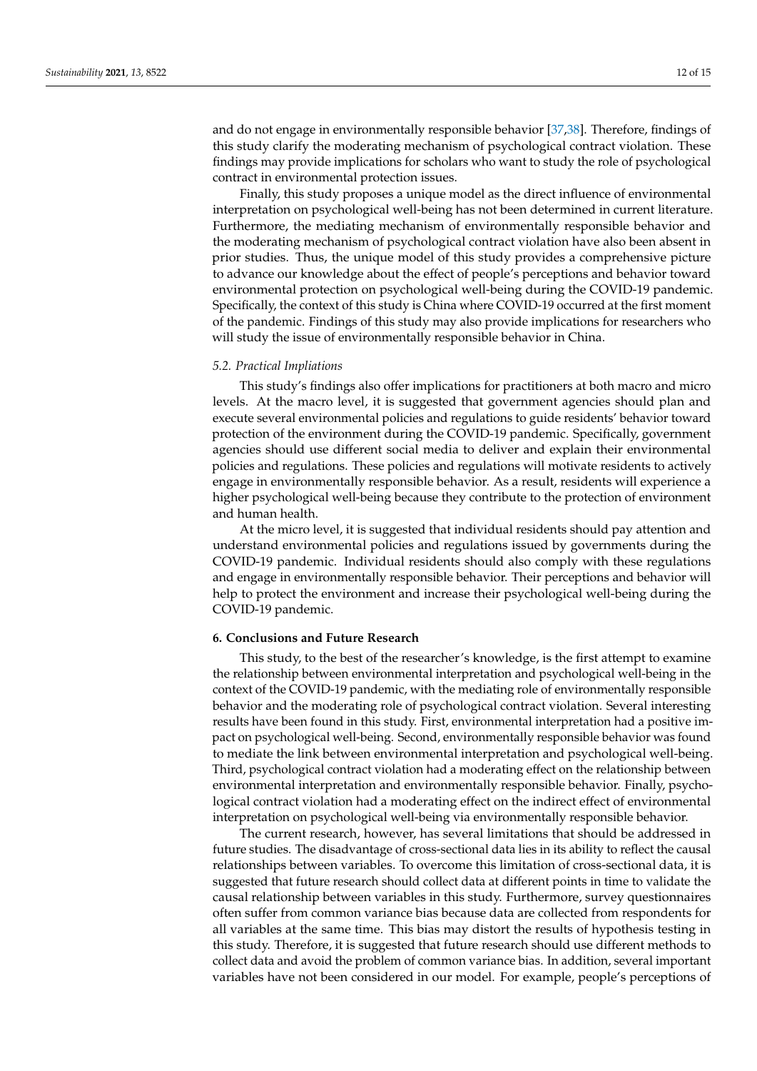and do not engage in environmentally responsible behavior [\[37,](#page-14-19)[38\]](#page-14-20). Therefore, findings of this study clarify the moderating mechanism of psychological contract violation. These findings may provide implications for scholars who want to study the role of psychological contract in environmental protection issues.

Finally, this study proposes a unique model as the direct influence of environmental interpretation on psychological well-being has not been determined in current literature. Furthermore, the mediating mechanism of environmentally responsible behavior and the moderating mechanism of psychological contract violation have also been absent in prior studies. Thus, the unique model of this study provides a comprehensive picture to advance our knowledge about the effect of people's perceptions and behavior toward environmental protection on psychological well-being during the COVID-19 pandemic. Specifically, the context of this study is China where COVID-19 occurred at the first moment of the pandemic. Findings of this study may also provide implications for researchers who will study the issue of environmentally responsible behavior in China.

#### *5.2. Practical Impliations*

This study's findings also offer implications for practitioners at both macro and micro levels. At the macro level, it is suggested that government agencies should plan and execute several environmental policies and regulations to guide residents' behavior toward protection of the environment during the COVID-19 pandemic. Specifically, government agencies should use different social media to deliver and explain their environmental policies and regulations. These policies and regulations will motivate residents to actively engage in environmentally responsible behavior. As a result, residents will experience a higher psychological well-being because they contribute to the protection of environment and human health.

At the micro level, it is suggested that individual residents should pay attention and understand environmental policies and regulations issued by governments during the COVID-19 pandemic. Individual residents should also comply with these regulations and engage in environmentally responsible behavior. Their perceptions and behavior will help to protect the environment and increase their psychological well-being during the COVID-19 pandemic.

#### <span id="page-12-0"></span>**6. Conclusions and Future Research**

This study, to the best of the researcher's knowledge, is the first attempt to examine the relationship between environmental interpretation and psychological well-being in the context of the COVID-19 pandemic, with the mediating role of environmentally responsible behavior and the moderating role of psychological contract violation. Several interesting results have been found in this study. First, environmental interpretation had a positive impact on psychological well-being. Second, environmentally responsible behavior was found to mediate the link between environmental interpretation and psychological well-being. Third, psychological contract violation had a moderating effect on the relationship between environmental interpretation and environmentally responsible behavior. Finally, psychological contract violation had a moderating effect on the indirect effect of environmental interpretation on psychological well-being via environmentally responsible behavior.

The current research, however, has several limitations that should be addressed in future studies. The disadvantage of cross-sectional data lies in its ability to reflect the causal relationships between variables. To overcome this limitation of cross-sectional data, it is suggested that future research should collect data at different points in time to validate the causal relationship between variables in this study. Furthermore, survey questionnaires often suffer from common variance bias because data are collected from respondents for all variables at the same time. This bias may distort the results of hypothesis testing in this study. Therefore, it is suggested that future research should use different methods to collect data and avoid the problem of common variance bias. In addition, several important variables have not been considered in our model. For example, people's perceptions of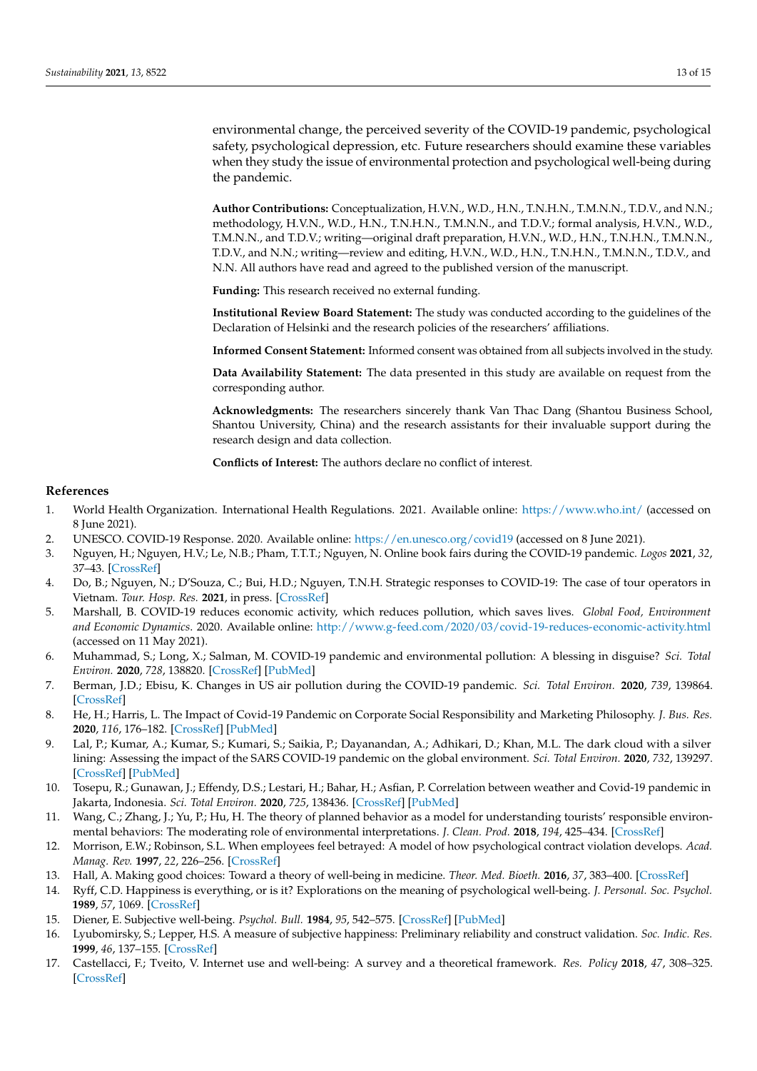environmental change, the perceived severity of the COVID-19 pandemic, psychological safety, psychological depression, etc. Future researchers should examine these variables when they study the issue of environmental protection and psychological well-being during the pandemic.

**Author Contributions:** Conceptualization, H.V.N., W.D., H.N., T.N.H.N., T.M.N.N., T.D.V., and N.N.; methodology, H.V.N., W.D., H.N., T.N.H.N., T.M.N.N., and T.D.V.; formal analysis, H.V.N., W.D., T.M.N.N., and T.D.V.; writing—original draft preparation, H.V.N., W.D., H.N., T.N.H.N., T.M.N.N., T.D.V., and N.N.; writing—review and editing, H.V.N., W.D., H.N., T.N.H.N., T.M.N.N., T.D.V., and N.N. All authors have read and agreed to the published version of the manuscript.

**Funding:** This research received no external funding.

**Institutional Review Board Statement:** The study was conducted according to the guidelines of the Declaration of Helsinki and the research policies of the researchers' affiliations.

**Informed Consent Statement:** Informed consent was obtained from all subjects involved in the study.

**Data Availability Statement:** The data presented in this study are available on request from the corresponding author.

**Acknowledgments:** The researchers sincerely thank Van Thac Dang (Shantou Business School, Shantou University, China) and the research assistants for their invaluable support during the research design and data collection.

**Conflicts of Interest:** The authors declare no conflict of interest.

#### **References**

- <span id="page-13-0"></span>1. World Health Organization. International Health Regulations. 2021. Available online: <https://www.who.int/> (accessed on 8 June 2021).
- <span id="page-13-1"></span>2. UNESCO. COVID-19 Response. 2020. Available online: <https://en.unesco.org/covid19> (accessed on 8 June 2021).
- <span id="page-13-2"></span>3. Nguyen, H.; Nguyen, H.V.; Le, N.B.; Pham, T.T.T.; Nguyen, N. Online book fairs during the COVID-19 pandemic. *Logos* **2021**, *32*, 37–43. [\[CrossRef\]](http://doi.org/10.1163/18784712-03104008)
- <span id="page-13-3"></span>4. Do, B.; Nguyen, N.; D'Souza, C.; Bui, H.D.; Nguyen, T.N.H. Strategic responses to COVID-19: The case of tour operators in Vietnam. *Tour. Hosp. Res.* **2021**, in press. [\[CrossRef\]](http://doi.org/10.1177/1467358421993902)
- <span id="page-13-4"></span>5. Marshall, B. COVID-19 reduces economic activity, which reduces pollution, which saves lives. *Global Food, Environment and Economic Dynamics*. 2020. Available online: <http://www.g-feed.com/2020/03/covid-19-reduces-economic-activity.html> (accessed on 11 May 2021).
- <span id="page-13-5"></span>6. Muhammad, S.; Long, X.; Salman, M. COVID-19 pandemic and environmental pollution: A blessing in disguise? *Sci. Total Environ.* **2020**, *728*, 138820. [\[CrossRef\]](http://doi.org/10.1016/j.scitotenv.2020.138820) [\[PubMed\]](http://www.ncbi.nlm.nih.gov/pubmed/32334164)
- <span id="page-13-14"></span>7. Berman, J.D.; Ebisu, K. Changes in US air pollution during the COVID-19 pandemic. *Sci. Total Environ.* **2020**, *739*, 139864. [\[CrossRef\]](http://doi.org/10.1016/j.scitotenv.2020.139864)
- <span id="page-13-16"></span>8. He, H.; Harris, L. The Impact of Covid-19 Pandemic on Corporate Social Responsibility and Marketing Philosophy. *J. Bus. Res.* **2020**, *116*, 176–182. [\[CrossRef\]](http://doi.org/10.1016/j.jbusres.2020.05.030) [\[PubMed\]](http://www.ncbi.nlm.nih.gov/pubmed/32457556)
- <span id="page-13-15"></span>9. Lal, P.; Kumar, A.; Kumar, S.; Kumari, S.; Saikia, P.; Dayanandan, A.; Adhikari, D.; Khan, M.L. The dark cloud with a silver lining: Assessing the impact of the SARS COVID-19 pandemic on the global environment. *Sci. Total Environ.* **2020**, *732*, 139297. [\[CrossRef\]](http://doi.org/10.1016/j.scitotenv.2020.139297) [\[PubMed\]](http://www.ncbi.nlm.nih.gov/pubmed/32408041)
- <span id="page-13-6"></span>10. Tosepu, R.; Gunawan, J.; Effendy, D.S.; Lestari, H.; Bahar, H.; Asfian, P. Correlation between weather and Covid-19 pandemic in Jakarta, Indonesia. *Sci. Total Environ.* **2020**, *725*, 138436. [\[CrossRef\]](http://doi.org/10.1016/j.scitotenv.2020.138436) [\[PubMed\]](http://www.ncbi.nlm.nih.gov/pubmed/32298883)
- <span id="page-13-7"></span>11. Wang, C.; Zhang, J.; Yu, P.; Hu, H. The theory of planned behavior as a model for understanding tourists' responsible environmental behaviors: The moderating role of environmental interpretations. *J. Clean. Prod.* **2018**, *194*, 425–434. [\[CrossRef\]](http://doi.org/10.1016/j.jclepro.2018.05.171)
- <span id="page-13-8"></span>12. Morrison, E.W.; Robinson, S.L. When employees feel betrayed: A model of how psychological contract violation develops. *Acad. Manag. Rev.* **1997**, *22*, 226–256. [\[CrossRef\]](http://doi.org/10.5465/amr.1997.9707180265)
- <span id="page-13-9"></span>13. Hall, A. Making good choices: Toward a theory of well-being in medicine. *Theor. Med. Bioeth.* **2016**, *37*, 383–400. [\[CrossRef\]](http://doi.org/10.1007/s11017-016-9378-4)
- <span id="page-13-10"></span>14. Ryff, C.D. Happiness is everything, or is it? Explorations on the meaning of psychological well-being. *J. Personal. Soc. Psychol.* **1989**, *57*, 1069. [\[CrossRef\]](http://doi.org/10.1037/0022-3514.57.6.1069)
- <span id="page-13-11"></span>15. Diener, E. Subjective well-being. *Psychol. Bull.* **1984**, *95*, 542–575. [\[CrossRef\]](http://doi.org/10.1037/0033-2909.95.3.542) [\[PubMed\]](http://www.ncbi.nlm.nih.gov/pubmed/6399758)
- <span id="page-13-12"></span>16. Lyubomirsky, S.; Lepper, H.S. A measure of subjective happiness: Preliminary reliability and construct validation. *Soc. Indic. Res.* **1999**, *46*, 137–155. [\[CrossRef\]](http://doi.org/10.1023/A:1006824100041)
- <span id="page-13-13"></span>17. Castellacci, F.; Tveito, V. Internet use and well-being: A survey and a theoretical framework. *Res. Policy* **2018**, *47*, 308–325. [\[CrossRef\]](http://doi.org/10.1016/j.respol.2017.11.007)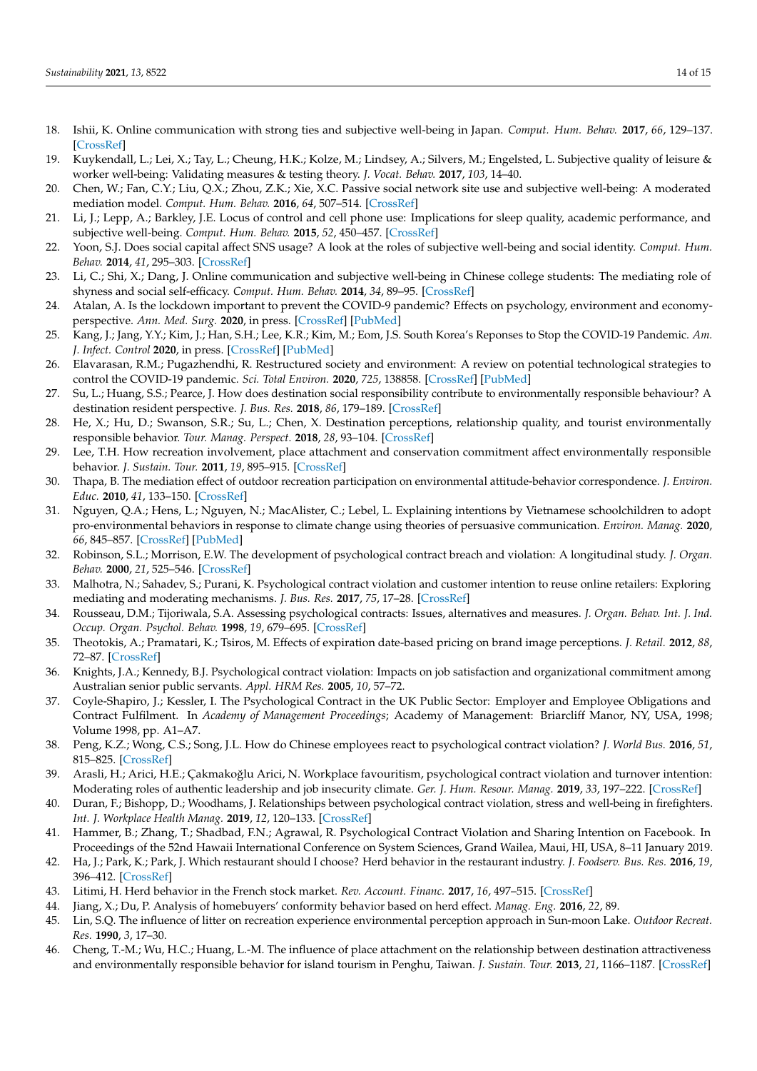- <span id="page-14-0"></span>18. Ishii, K. Online communication with strong ties and subjective well-being in Japan. *Comput. Hum. Behav.* **2017**, *66*, 129–137. [\[CrossRef\]](http://doi.org/10.1016/j.chb.2016.09.033)
- <span id="page-14-1"></span>19. Kuykendall, L.; Lei, X.; Tay, L.; Cheung, H.K.; Kolze, M.; Lindsey, A.; Silvers, M.; Engelsted, L. Subjective quality of leisure & worker well-being: Validating measures & testing theory. *J. Vocat. Behav.* **2017**, *103*, 14–40.
- <span id="page-14-2"></span>20. Chen, W.; Fan, C.Y.; Liu, Q.X.; Zhou, Z.K.; Xie, X.C. Passive social network site use and subjective well-being: A moderated mediation model. *Comput. Hum. Behav.* **2016**, *64*, 507–514. [\[CrossRef\]](http://doi.org/10.1016/j.chb.2016.04.038)
- <span id="page-14-3"></span>21. Li, J.; Lepp, A.; Barkley, J.E. Locus of control and cell phone use: Implications for sleep quality, academic performance, and subjective well-being. *Comput. Hum. Behav.* **2015**, *52*, 450–457. [\[CrossRef\]](http://doi.org/10.1016/j.chb.2015.06.021)
- <span id="page-14-4"></span>22. Yoon, S.J. Does social capital affect SNS usage? A look at the roles of subjective well-being and social identity. *Comput. Hum. Behav.* **2014**, *41*, 295–303. [\[CrossRef\]](http://doi.org/10.1016/j.chb.2014.09.043)
- <span id="page-14-5"></span>23. Li, C.; Shi, X.; Dang, J. Online communication and subjective well-being in Chinese college students: The mediating role of shyness and social self-efficacy. *Comput. Hum. Behav.* **2014**, *34*, 89–95. [\[CrossRef\]](http://doi.org/10.1016/j.chb.2014.01.032)
- <span id="page-14-6"></span>24. Atalan, A. Is the lockdown important to prevent the COVID-9 pandemic? Effects on psychology, environment and economyperspective. *Ann. Med. Surg.* **2020**, in press. [\[CrossRef\]](http://doi.org/10.1016/j.amsu.2020.06.010) [\[PubMed\]](http://www.ncbi.nlm.nih.gov/pubmed/32562476)
- <span id="page-14-7"></span>25. Kang, J.; Jang, Y.Y.; Kim, J.; Han, S.H.; Lee, K.R.; Kim, M.; Eom, J.S. South Korea's Reponses to Stop the COVID-19 Pandemic. *Am. J. Infect. Control* **2020**, in press. [\[CrossRef\]](http://doi.org/10.1016/j.ajic.2020.06.003) [\[PubMed\]](http://www.ncbi.nlm.nih.gov/pubmed/32522606)
- <span id="page-14-8"></span>26. Elavarasan, R.M.; Pugazhendhi, R. Restructured society and environment: A review on potential technological strategies to control the COVID-19 pandemic. *Sci. Total Environ.* **2020**, *725*, 138858. [\[CrossRef\]](http://doi.org/10.1016/j.scitotenv.2020.138858) [\[PubMed\]](http://www.ncbi.nlm.nih.gov/pubmed/32336562)
- <span id="page-14-9"></span>27. Su, L.; Huang, S.S.; Pearce, J. How does destination social responsibility contribute to environmentally responsible behaviour? A destination resident perspective. *J. Bus. Res.* **2018**, *86*, 179–189. [\[CrossRef\]](http://doi.org/10.1016/j.jbusres.2018.02.011)
- <span id="page-14-10"></span>28. He, X.; Hu, D.; Swanson, S.R.; Su, L.; Chen, X. Destination perceptions, relationship quality, and tourist environmentally responsible behavior. *Tour. Manag. Perspect.* **2018**, *28*, 93–104. [\[CrossRef\]](http://doi.org/10.1016/j.tmp.2018.08.001)
- <span id="page-14-11"></span>29. Lee, T.H. How recreation involvement, place attachment and conservation commitment affect environmentally responsible behavior. *J. Sustain. Tour.* **2011**, *19*, 895–915. [\[CrossRef\]](http://doi.org/10.1080/09669582.2011.570345)
- <span id="page-14-12"></span>30. Thapa, B. The mediation effect of outdoor recreation participation on environmental attitude-behavior correspondence. *J. Environ. Educ.* **2010**, *41*, 133–150. [\[CrossRef\]](http://doi.org/10.1080/00958960903439989)
- <span id="page-14-13"></span>31. Nguyen, Q.A.; Hens, L.; Nguyen, N.; MacAlister, C.; Lebel, L. Explaining intentions by Vietnamese schoolchildren to adopt pro-environmental behaviors in response to climate change using theories of persuasive communication. *Environ. Manag.* **2020**, *66*, 845–857. [\[CrossRef\]](http://doi.org/10.1007/s00267-020-01334-0) [\[PubMed\]](http://www.ncbi.nlm.nih.gov/pubmed/32686001)
- <span id="page-14-14"></span>32. Robinson, S.L.; Morrison, E.W. The development of psychological contract breach and violation: A longitudinal study. *J. Organ. Behav.* **2000**, *21*, 525–546. [\[CrossRef\]](http://doi.org/10.1002/1099-1379(200008)21:5<525::AID-JOB40>3.0.CO;2-T)
- <span id="page-14-15"></span>33. Malhotra, N.; Sahadev, S.; Purani, K. Psychological contract violation and customer intention to reuse online retailers: Exploring mediating and moderating mechanisms. *J. Bus. Res.* **2017**, *75*, 17–28. [\[CrossRef\]](http://doi.org/10.1016/j.jbusres.2017.01.013)
- <span id="page-14-16"></span>34. Rousseau, D.M.; Tijoriwala, S.A. Assessing psychological contracts: Issues, alternatives and measures. *J. Organ. Behav. Int. J. Ind. Occup. Organ. Psychol. Behav.* **1998**, *19*, 679–695. [\[CrossRef\]](http://doi.org/10.1002/(SICI)1099-1379(1998)19:1+<679::AID-JOB971>3.0.CO;2-N)
- <span id="page-14-17"></span>35. Theotokis, A.; Pramatari, K.; Tsiros, M. Effects of expiration date-based pricing on brand image perceptions. *J. Retail.* **2012**, *88*, 72–87. [\[CrossRef\]](http://doi.org/10.1016/j.jretai.2011.06.003)
- <span id="page-14-18"></span>36. Knights, J.A.; Kennedy, B.J. Psychological contract violation: Impacts on job satisfaction and organizational commitment among Australian senior public servants. *Appl. HRM Res.* **2005**, *10*, 57–72.
- <span id="page-14-19"></span>37. Coyle-Shapiro, J.; Kessler, I. The Psychological Contract in the UK Public Sector: Employer and Employee Obligations and Contract Fulfilment. In *Academy of Management Proceedings*; Academy of Management: Briarcliff Manor, NY, USA, 1998; Volume 1998, pp. A1–A7.
- <span id="page-14-20"></span>38. Peng, K.Z.; Wong, C.S.; Song, J.L. How do Chinese employees react to psychological contract violation? *J. World Bus.* **2016**, *51*, 815–825. [\[CrossRef\]](http://doi.org/10.1016/j.jwb.2016.07.012)
- <span id="page-14-21"></span>39. Arasli, H.; Arici, H.E.; Çakmakoğlu Arici, N. Workplace favouritism, psychological contract violation and turnover intention: Moderating roles of authentic leadership and job insecurity climate. *Ger. J. Hum. Resour. Manag.* **2019**, *33*, 197–222. [\[CrossRef\]](http://doi.org/10.1177/2397002219839896)
- <span id="page-14-22"></span>40. Duran, F.; Bishopp, D.; Woodhams, J. Relationships between psychological contract violation, stress and well-being in firefighters. *Int. J. Workplace Health Manag.* **2019**, *12*, 120–133. [\[CrossRef\]](http://doi.org/10.1108/IJWHM-09-2018-0114)
- <span id="page-14-23"></span>41. Hammer, B.; Zhang, T.; Shadbad, F.N.; Agrawal, R. Psychological Contract Violation and Sharing Intention on Facebook. In Proceedings of the 52nd Hawaii International Conference on System Sciences, Grand Wailea, Maui, HI, USA, 8–11 January 2019.
- <span id="page-14-24"></span>42. Ha, J.; Park, K.; Park, J. Which restaurant should I choose? Herd behavior in the restaurant industry. *J. Foodserv. Bus. Res.* **2016**, *19*, 396–412. [\[CrossRef\]](http://doi.org/10.1080/15378020.2016.1185873)
- <span id="page-14-25"></span>43. Litimi, H. Herd behavior in the French stock market. *Rev. Account. Financ.* **2017**, *16*, 497–515. [\[CrossRef\]](http://doi.org/10.1108/RAF-11-2016-0188)
- <span id="page-14-26"></span>44. Jiang, X.; Du, P. Analysis of homebuyers' conformity behavior based on herd effect. *Manag. Eng.* **2016**, *22*, 89.
- <span id="page-14-27"></span>45. Lin, S.Q. The influence of litter on recreation experience environmental perception approach in Sun-moon Lake. *Outdoor Recreat. Res.* **1990**, *3*, 17–30.
- <span id="page-14-28"></span>46. Cheng, T.-M.; Wu, H.C.; Huang, L.-M. The influence of place attachment on the relationship between destination attractiveness and environmentally responsible behavior for island tourism in Penghu, Taiwan. *J. Sustain. Tour.* **2013**, *21*, 1166–1187. [\[CrossRef\]](http://doi.org/10.1080/09669582.2012.750329)